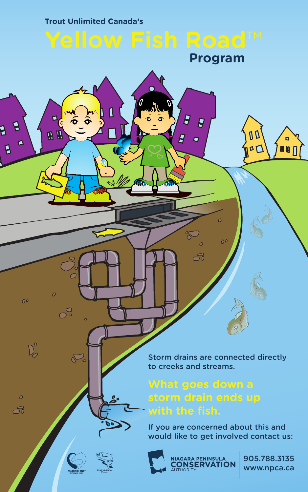